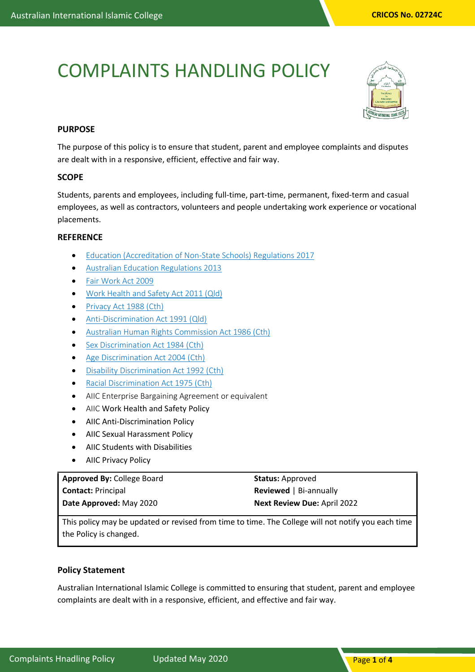# COMPLAINTS HANDLING POLICY



# **PURPOSE**

The purpose of this policy is to ensure that student, parent and employee complaints and disputes are dealt with in a responsive, efficient, effective and fair way.

# **SCOPE**

Students, parents and employees, including full-time, part-time, permanent, fixed-term and casual employees, as well as contractors, volunteers and people undertaking work experience or vocational placements.

# **REFERENCE**

- [Education \(Accreditation of Non-State Schools\) Regulations 2017](https://www.legislation.qld.gov.au/view/whole/html/asmade/act-2017-024)
- [Australian Education Regulations 2013](http://www.comlaw.gov.au/Details/F2013L01476)
- [Fair Work Act 2009](http://www.comlaw.gov.au/Details/C2014C00031/Html/Volume_1#_Toc377043680)
- [Work Health and Safety Act 2011 \(Qld\)](https://www.legislation.qld.gov.au/LEGISLTN/CURRENT/W/WorkHSA11.pdf)
- [Privacy Act 1988 \(Cth\)](http://www.comlaw.gov.au/Details/C2014C00076)
- [Anti-Discrimination Act 1991 \(Qld\)](https://www.legislation.qld.gov.au/LEGISLTN/CURRENT/A/AntiDiscrimA91.pdf)
- [Australian Human Rights Commission Act 1986 \(Cth\)](http://www.comlaw.gov.au/Series/C2004A03366)
- [Sex Discrimination Act 1984 \(Cth\)](http://www.comlaw.gov.au/Series/C2004A02868)
- [Age Discrimination Act 2004 \(Cth\)](http://www.comlaw.gov.au/Series/C2004A01302)
- [Disability Discrimination Act 1992 \(Cth\)](http://www.comlaw.gov.au/Series/C2004A04426)
- [Racial Discrimination Act 1975 \(Cth\)](http://www.comlaw.gov.au/Series/C2004A00274)
- AIIC Enterprise Bargaining Agreement or equivalent
- AIIC Work Health and Safety Policy
- AIIC Anti-Discrimination Policy
- AIIC Sexual Harassment Policy
- AIIC Students with Disabilities
- AIIC Privacy Policy

#### **Approved By:** College Board **Contact:** Principal **Date Approved:** May 2020 **Status:** Approved **Reviewed** | Bi-annually **Next Review Due:** April 2022

This policy may be updated or revised from time to time. The College will not notify you each time the Policy is changed.

### **Policy Statement**

Australian International Islamic College is committed to ensuring that student, parent and employee complaints are dealt with in a responsive, efficient, and effective and fair way.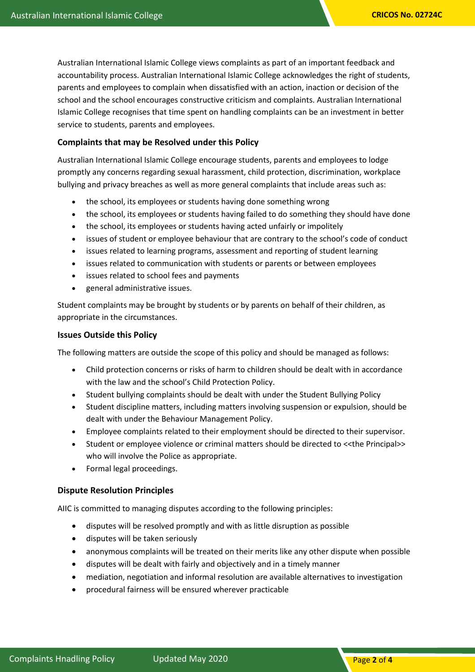Australian International Islamic College views complaints as part of an important feedback and accountability process. Australian International Islamic College acknowledges the right of students, parents and employees to complain when dissatisfied with an action, inaction or decision of the school and the school encourages constructive criticism and complaints. Australian International Islamic College recognises that time spent on handling complaints can be an investment in better service to students, parents and employees.

# **Complaints that may be Resolved under this Policy**

Australian International Islamic College encourage students, parents and employees to lodge promptly any concerns regarding sexual harassment, child protection, discrimination, workplace bullying and privacy breaches as well as more general complaints that include areas such as:

- the school, its employees or students having done something wrong
- the school, its employees or students having failed to do something they should have done
- the school, its employees or students having acted unfairly or impolitely
- issues of student or employee behaviour that are contrary to the school's code of conduct
- issues related to learning programs, assessment and reporting of student learning
- issues related to communication with students or parents or between employees
- issues related to school fees and payments
- general administrative issues.

Student complaints may be brought by students or by parents on behalf of their children, as appropriate in the circumstances.

#### **Issues Outside this Policy**

The following matters are outside the scope of this policy and should be managed as follows:

- Child protection concerns or risks of harm to children should be dealt with in accordance with the law and the school's Child Protection Policy.
- Student bullying complaints should be dealt with under the Student Bullying Policy
- Student discipline matters, including matters involving suspension or expulsion, should be dealt with under the Behaviour Management Policy.
- Employee complaints related to their employment should be directed to their supervisor.
- Student or employee violence or criminal matters should be directed to <<the Principal>> who will involve the Police as appropriate.
- Formal legal proceedings.

### **Dispute Resolution Principles**

AIIC is committed to managing disputes according to the following principles:

- disputes will be resolved promptly and with as little disruption as possible
- disputes will be taken seriously
- anonymous complaints will be treated on their merits like any other dispute when possible
- disputes will be dealt with fairly and objectively and in a timely manner
- mediation, negotiation and informal resolution are available alternatives to investigation
- procedural fairness will be ensured wherever practicable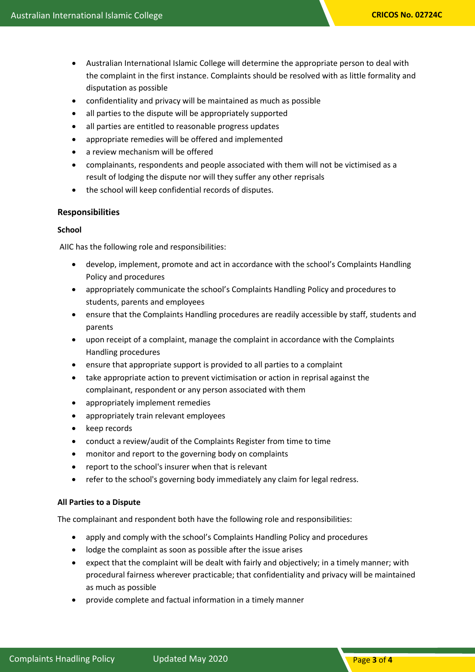- Australian International Islamic College will determine the appropriate person to deal with the complaint in the first instance. Complaints should be resolved with as little formality and disputation as possible
- confidentiality and privacy will be maintained as much as possible
- all parties to the dispute will be appropriately supported
- all parties are entitled to reasonable progress updates
- appropriate remedies will be offered and implemented
- a review mechanism will be offered
- complainants, respondents and people associated with them will not be victimised as a result of lodging the dispute nor will they suffer any other reprisals
- the school will keep confidential records of disputes.

#### **Responsibilities**

#### **School**

AIIC has the following role and responsibilities:

- develop, implement, promote and act in accordance with the school's Complaints Handling Policy and procedures
- appropriately communicate the school's Complaints Handling Policy and procedures to students, parents and employees
- ensure that the Complaints Handling procedures are readily accessible by staff, students and parents
- upon receipt of a complaint, manage the complaint in accordance with the Complaints Handling procedures
- ensure that appropriate support is provided to all parties to a complaint
- take appropriate action to prevent victimisation or action in reprisal against the complainant, respondent or any person associated with them
- appropriately implement remedies
- appropriately train relevant employees
- keep records
- conduct a review/audit of the Complaints Register from time to time
- monitor and report to the governing body on complaints
- report to the school's insurer when that is relevant
- refer to the school's governing body immediately any claim for legal redress.

#### **All Parties to a Dispute**

The complainant and respondent both have the following role and responsibilities:

- apply and comply with the school's Complaints Handling Policy and procedures
- lodge the complaint as soon as possible after the issue arises
- expect that the complaint will be dealt with fairly and objectively; in a timely manner; with procedural fairness wherever practicable; that confidentiality and privacy will be maintained as much as possible
- provide complete and factual information in a timely manner